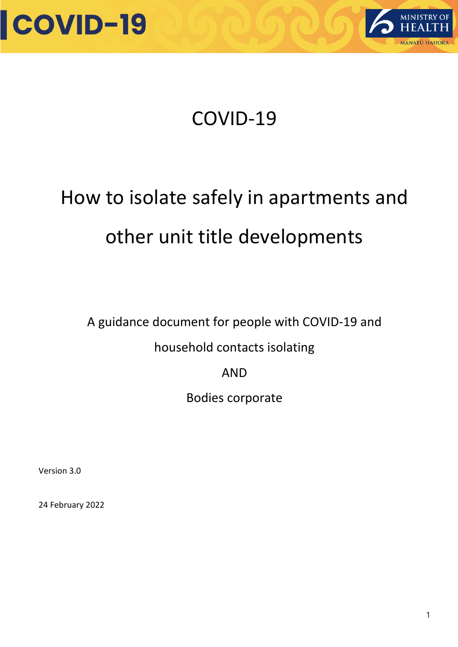



### How to isolate safely in apartments and other unit title developments

A guidance document for people with COVID-19 and

### household contacts isolating

AND

Bodies corporate

Version 3.0

24 February 2022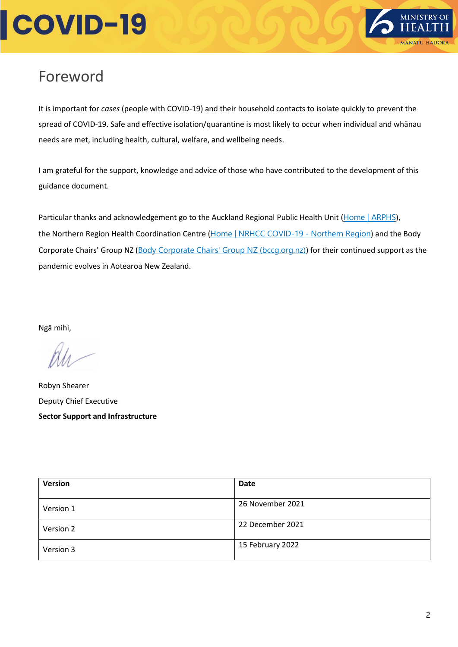

### <span id="page-1-0"></span>Foreword

It is important for *cases* (people with COVID-19) and their household contacts to isolate quickly to prevent the spread of COVID-19. Safe and effective isolation/quarantine is most likely to occur when individual and whānau needs are met, including health, cultural, welfare, and wellbeing needs.

I am grateful for the support, knowledge and advice of those who have contributed to the development of this guidance document.

Particular thanks and acknowledgement go to the Auckland Regional Public Health Unit ([Home | ARPHS](https://www.arphs.health.nz/)), the Northern Region Health Coordination Centre ([Home | NRHCC COVID-19 -](https://immunisation.northernregion.health.nz/) Northern Region) and the Body Corporate Chairs' Group NZ ([Body Corporate Chairs' Group NZ \(bccg.org.nz\)](https://www.bccg.org.nz/)) for their continued support as the pandemic evolves in Aotearoa New Zealand.

Ngā mihi,

Robyn Shearer Deputy Chief Executive **Sector Support and Infrastructure**

| <b>Version</b> | Date             |
|----------------|------------------|
| Version 1      | 26 November 2021 |
| Version 2      | 22 December 2021 |
| Version 3      | 15 February 2022 |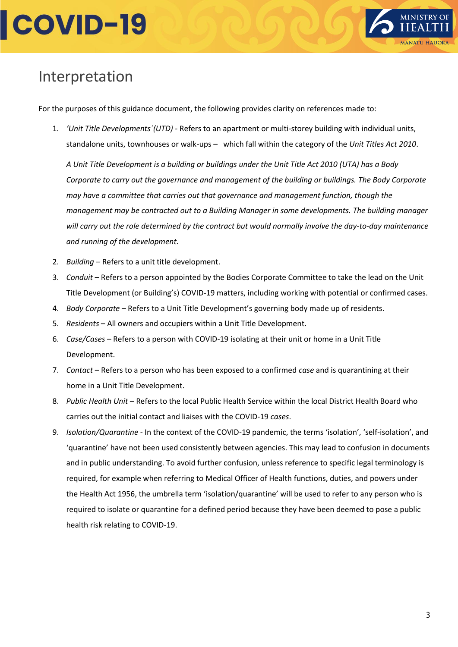

### <span id="page-2-0"></span>Interpretation

For the purposes of this guidance document, the following provides clarity on references made to:

1. *'Unit Title Developments´(UTD) -* Refers to an apartment or multi-storey building with individual units, standalone units, townhouses or walk-ups – which fall within the category of the *Unit Titles Act 2010*.

*A Unit Title Development is a building or buildings under the Unit Title Act 2010 (UTA) has a Body Corporate to carry out the governance and management of the building or buildings. The Body Corporate may have a committee that carries out that governance and management function, though the management may be contracted out to a Building Manager in some developments. The building manager will carry out the role determined by the contract but would normally involve the day-to-day maintenance and running of the development.*

- 2. *Building –* Refers to a unit title development.
- 3. *Conduit –* Refers to a person appointed by the Bodies Corporate Committee to take the lead on the Unit Title Development (or Building's) COVID-19 matters, including working with potential or confirmed cases.
- 4. *Body Corporate* Refers to a Unit Title Development's governing body made up of residents.
- 5. *Residents* All owners and occupiers within a Unit Title Development.
- 6. *Case/Cases* Refers to a person with COVID-19 isolating at their unit or home in a Unit Title Development.
- 7. *Contact* Refers to a person who has been exposed to a confirmed *case* and is quarantining at their home in a Unit Title Development.
- 8. *Public Health Unit –* Refers to the local Public Health Service within the local District Health Board who carries out the initial contact and liaises with the COVID-19 *cases*.
- 9. *Isolation/Quarantine* In the context of the COVID-19 pandemic, the terms 'isolation', 'self-isolation', and 'quarantine' have not been used consistently between agencies. This may lead to confusion in documents and in public understanding. To avoid further confusion, unless reference to specific legal terminology is required, for example when referring to Medical Officer of Health functions, duties, and powers under the Health Act 1956, the umbrella term 'isolation/quarantine' will be used to refer to any person who is required to isolate or quarantine for a defined period because they have been deemed to pose a public health risk relating to COVID-19.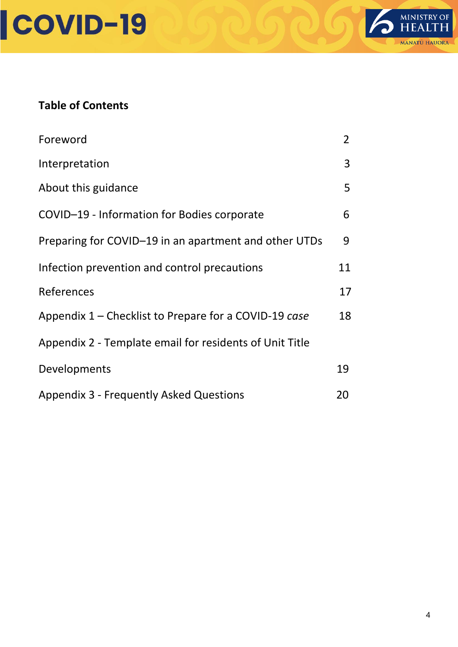



#### **Table of Contents**

| Foreword                                                | $\overline{2}$ |
|---------------------------------------------------------|----------------|
| Interpretation                                          | 3              |
| About this guidance                                     | 5              |
| COVID-19 - Information for Bodies corporate             |                |
| Preparing for COVID-19 in an apartment and other UTDs   |                |
| Infection prevention and control precautions            |                |
| References                                              | 17             |
| Appendix 1 – Checklist to Prepare for a COVID-19 case   |                |
| Appendix 2 - Template email for residents of Unit Title |                |
| Developments                                            | 19             |
| <b>Appendix 3 - Frequently Asked Questions</b>          |                |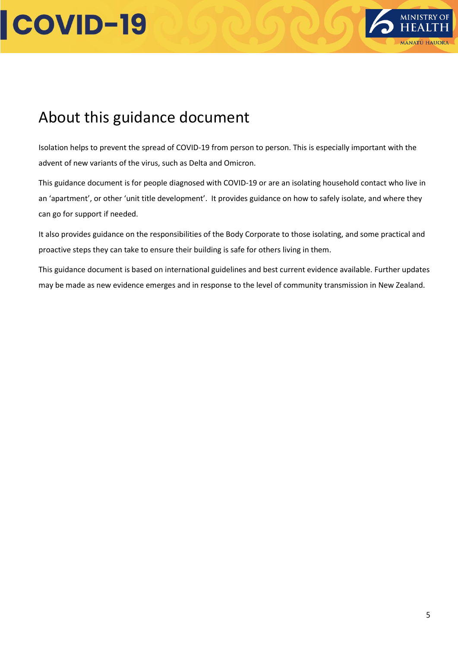

### About this guidance document

Isolation helps to prevent the spread of COVID-19 from person to person. This is especially important with the advent of new variants of the virus, such as Delta and Omicron.

This guidance document is for people diagnosed with COVID-19 or are an isolating household contact who live in an 'apartment', or other 'unit title development'. It provides guidance on how to safely isolate, and where they can go for support if needed.

It also provides guidance on the responsibilities of the Body Corporate to those isolating, and some practical and proactive steps they can take to ensure their building is safe for others living in them.

This guidance document is based on international guidelines and best current evidence available. Further updates may be made as new evidence emerges and in response to the level of community transmission in New Zealand.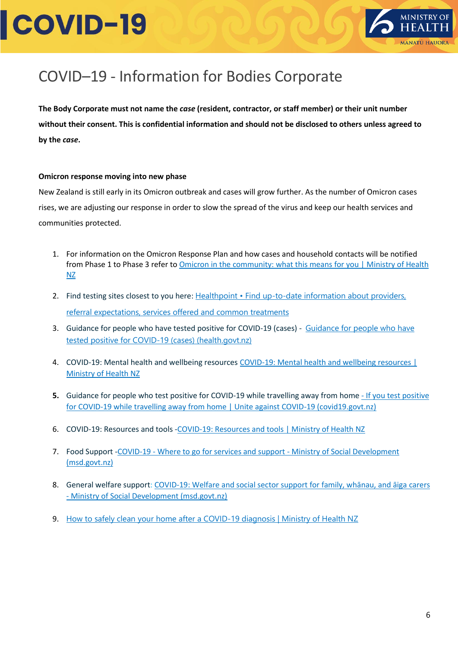

### <span id="page-5-0"></span>COVID–19 - Information for Bodies Corporate

**The Body Corporate must not name the** *case* **(resident, contractor, or staff member) or their unit number without their consent. This is confidential information and should not be disclosed to others unless agreed to by the** *case***.**

#### **Omicron response moving into new phase**

New Zealand is still early in its Omicron outbreak and cases will grow further. As the number of Omicron cases rises, we are adjusting our response in order to slow the spread of the virus and keep our health services and communities protected.

- 1. For information on the Omicron Response Plan and how cases and household contacts will be notified from Phase 1 to Phase 3 refer to Omicron in the community: what this means for you | Ministry of Health [NZ](https://www.health.govt.nz/covid-19-novel-coronavirus/covid-19-response-planning/omicron-community-what-means-you#2.)
- 2. Find testing sites closest to you here: Healthpoint Find up-to-date information about providers, [referral expectations, services offered and common treatments](https://www.healthpoint.co.nz/)
- 3. [Guidance for people who have](https://www.health.govt.nz/system/files/documents/pages/guidance_for_people_who_have_tested_positive_for_covid-19_-_18_feb.pdf) tested positive for COVID-19 (cases) Guidance for people who have [tested positive for COVID-19 \(cases\) \(health.govt.nz\)](https://www.health.govt.nz/system/files/documents/pages/guidance_for_people_who_have_tested_positive_for_covid-19_-_18_feb.pdf)
- 4. COVID-19: Mental health and wellbeing resources COVID-19: Mental health and wellbeing resources | [Ministry of Health NZ](https://www.health.govt.nz/covid-19-novel-coronavirus/covid-19-health-advice-public/covid-19-mental-health-and-wellbeing-resources)
- **5.** Guidance for people who test positive for COVID-19 while travelling away from home If you test positive [for COVID-19 while travelling away from home | Unite against COVID-19 \(covid19.govt.nz\)](https://covid19.govt.nz/isolation-and-care/if-you-test-positive-for-covid-19/if-you-test-positive-for-covid-19-while-travelling-away-from-home/#:~:text=Be%20prepared,-While%20vaccination%20is&text=Make%20a%20plan%20for%20how,the%20route%20you%20might%20take)
- 6. COVID-19: Resources and tools [-COVID-19: Resources and tools | Ministry of Health NZ](https://www.health.govt.nz/covid-19-novel-coronavirus/covid-19-resources-and-tools)
- 7. Food Support -COVID-19 [Where to go for services and support -](https://www.msd.govt.nz/about-msd-and-our-work/newsroom/2020/covid-19/where-to-go-for-services-and-support.html) Ministry of Social Development [\(msd.govt.nz\)](https://www.msd.govt.nz/about-msd-and-our-work/newsroom/2020/covid-19/where-to-go-for-services-and-support.html)
- 8. General welfare support: COVID-[19: Welfare and social sector support for family, whānau, and āiga](https://msd.govt.nz/what-we-can-do/community/carers/covid-19.html) carers - [Ministry of Social Development \(msd.govt.nz\)](https://msd.govt.nz/what-we-can-do/community/carers/covid-19.html)
- 9. [How to safely clean your home after a COVID-19 diagnosis | Ministry of Health NZ](https://www.health.govt.nz/covid-19-novel-coronavirus/covid-19-health-advice-public/advice-people-covid-19/how-safely-clean-your-home-after-covid-19-diagnosis)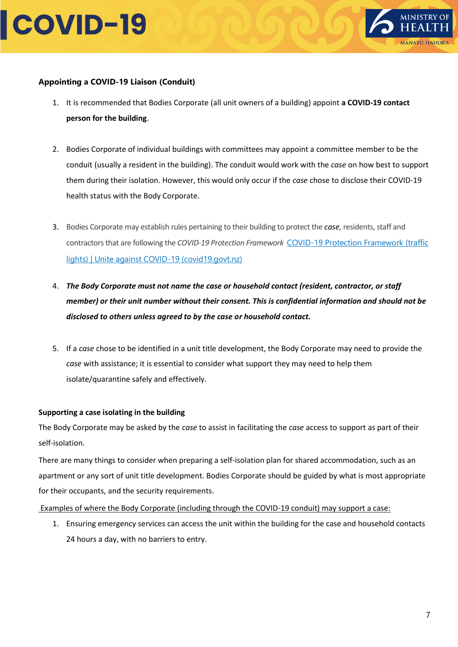



#### **Appointing a COVID-19 Liaison (Conduit)**

- 1. It is recommended that Bodies Corporate (all unit owners of a building) appoint **a COVID-19 contact person for the building**.
- 2. Bodies Corporate of individual buildings with committees may appoint a committee member to be the conduit (usually a resident in the building). The conduit would work with the *case* on how best to support them during their isolation. However, this would only occur if the *case* chose to disclose their COVID-19 health status with the Body Corporate.
- 3. Bodies Corporate may establish rules pertaining to their building to protect the *case,* residents, staff and contractors that are following the *COVID-19 Protection Framework* [COVID-19 Protection Framework \(traffic](https://covid19.govt.nz/traffic-lights/covid-19-protection-framework/)  [lights\) | Unite against COVID-19 \(covid19.govt.nz\)](https://covid19.govt.nz/traffic-lights/covid-19-protection-framework/)
- 4. *The Body Corporate must not name the case or household contact (resident, contractor, or staff member) or their unit number without their consent. This is confidential information and should not be disclosed to others unless agreed to by the case or household contact.*
- 5. If a *case* chose to be identified in a unit title development, the Body Corporate may need to provide the *case* with assistance; it is essential to consider what support they may need to help them isolate/quarantine safely and effectively.

#### **Supporting a case isolating in the building**

The Body Corporate may be asked by the *case* to assist in facilitating the *case* access to support as part of their self-isolation.

There are many things to consider when preparing a self-isolation plan for shared accommodation, such as an apartment or any sort of unit title development. Bodies Corporate should be guided by what is most appropriate for their occupants, and the security requirements.

#### Examples of where the Body Corporate (including through the COVID-19 conduit) may support a case:

1. Ensuring emergency services can access the unit within the building for the case and household contacts 24 hours a day, with no barriers to entry.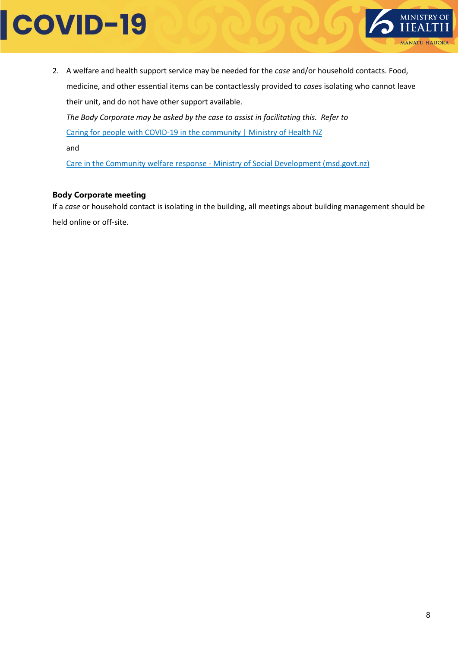

2. A welfare and health support service may be needed for the *case* and/or household contacts. Food, medicine, and other essential items can be contactlessly provided to *cases* isolating who cannot leave their unit, and do not have other support available. *The Body Corporate may be asked by the case to assist in facilitating this. Refer to*  [Caring for people with COVID-19 in the community | Ministry of Health NZ](https://www.health.govt.nz/covid-19-novel-coronavirus/covid-19-information-health-professionals/caring-people-covid-19-community#framework)

and

Care in the Community welfare response - [Ministry of Social Development \(msd.govt.nz\)](https://msd.govt.nz/about-msd-and-our-work/covid-19/care-in-the-community-welfare-response/index.html)

#### **Body Corporate meeting**

If a *case* or household contact is isolating in the building, all meetings about building management should be held online or off-site.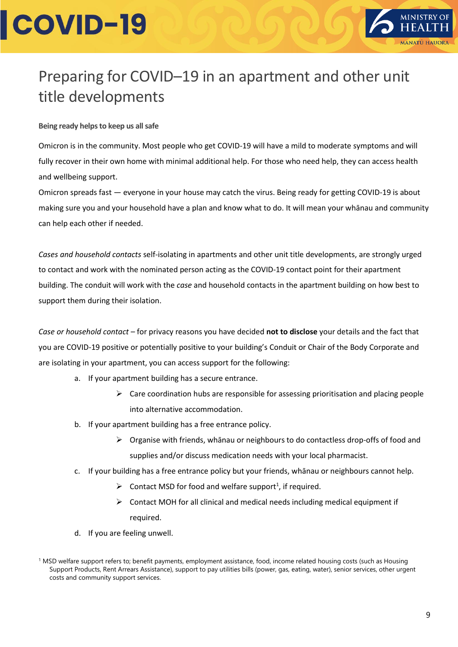

### <span id="page-8-0"></span>Preparing for COVID–19 in an apartment and other unit title developments

**Being ready helps to keep us all safe**

Omicron is in the community. Most people who get COVID-19 will have a mild to moderate symptoms and will fully recover in their own home with minimal additional help. For those who need help, they can access health and wellbeing support.

Omicron spreads fast — everyone in your house may catch the virus. Being ready for getting COVID-19 is about making sure you and your household have a plan and know what to do. It will mean your whānau and community can help each other if needed.

*Cases and household contacts* self-isolating in apartments and other unit title developments, are strongly urged to contact and work with the nominated person acting as the COVID-19 contact point for their apartment building. The conduit will work with the *case* and household contacts in the apartment building on how best to support them during their isolation.

*Case or household contact –* for privacy reasons you have decided **not to disclose** your details and the fact that you are COVID-19 positive or potentially positive to your building's Conduit or Chair of the Body Corporate and are isolating in your apartment, you can access support for the following:

- a. If your apartment building has a secure entrance.
	- $\triangleright$  Care coordination hubs are responsible for assessing prioritisation and placing people into alternative accommodation.
- b. If your apartment building has a free entrance policy.
	- ➢ Organise with friends, whānau or neighbours to do contactless drop-offs of food and supplies and/or discuss medication needs with your local pharmacist.
- c. If your building has a free entrance policy but your friends, whānau or neighbours cannot help.
	- $\triangleright$  Contact MSD for food and welfare support<sup>1</sup>, if required.
	- $\triangleright$  Contact MOH for all clinical and medical needs including medical equipment if required.
- d. If you are feeling unwell.

<sup>&</sup>lt;sup>1</sup> MSD welfare support refers to; benefit payments, employment assistance, food, income related housing costs (such as Housing Support Products, Rent Arrears Assistance), support to pay utilities bills (power, gas, eating, water), senior services, other urgent costs and community support services.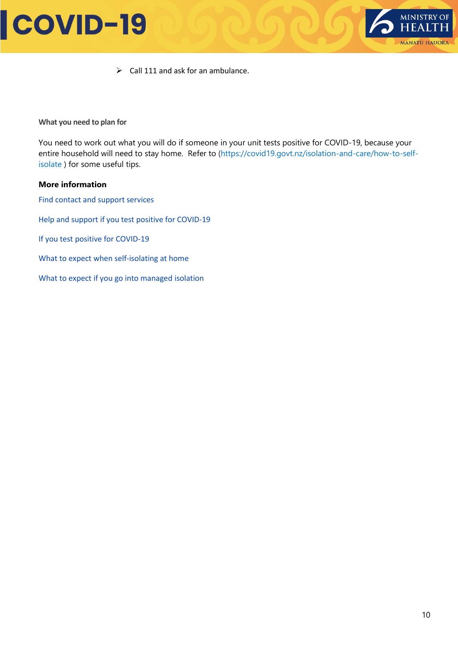

 $\triangleright$  Call 111 and ask for an ambulance.

**What you need to plan for**

You need to work out what you will do if someone in your unit tests positive for COVID-19, because your entire household will need to stay home. Refer to [\(https://covid19.govt.nz/isolation-and-care/how-to-self](https://covid19.govt.nz/isolation-and-care/how-to-self-isolate)[isolate](https://covid19.govt.nz/isolation-and-care/how-to-self-isolate) ) for some useful tips.

#### **More information**

[Find contact and support services](https://covid19.govt.nz/about-this-site/contact-us/) [Help and support if you test positive for COVID-19](https://covid19.govt.nz/isolation-and-care/getting-extra-support-if-you-have-covid-19-or-are-self-isolating/)

[If you test positive for COVID-19](https://covid19.govt.nz/isolation-and-care/if-you-test-positive-for-covid-19/)

- [What to expect when self-isolating at home](https://covid19.govt.nz/isolation-and-care/how-to-self-isolate/)
- [What to expect if you go into managed](https://covid19.govt.nz/isolation-and-care/what-to-expect-if-you-go-into-managed-isolation/) isolation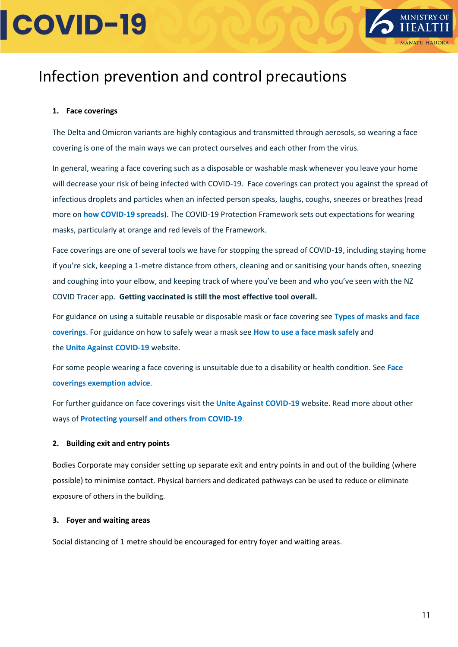

### Infection prevention and control precautions

#### **1. Face coverings**

The Delta and Omicron variants are highly contagious and transmitted through aerosols, so wearing a face covering is one of the main ways we can protect ourselves and each other from the virus.

In general, wearing a face covering such as a disposable or washable mask whenever you leave your home will decrease your risk of being infected with COVID-19. Face coverings can protect you against the spread of infectious droplets and particles when an infected person speaks, laughs, coughs, sneezes or breathes (read more on **[how COVID-19 spreads](https://www.health.govt.nz/our-work/diseases-and-conditions/covid-19-novel-coronavirus/covid-19-health-advice-public/about-covid-19/covid-19-about-delta-variant)**). The COVID-19 Protection Framework sets out expectations for wearing masks, particularly at orange and red levels of the Framework.

Face coverings are one of several tools we have for stopping the spread of COVID-19, including staying home if you're sick, keeping a 1-metre distance from others, cleaning and or sanitising your hands often, sneezing and coughing into your elbow, and keeping track of where you've been and who you've seen with the NZ COVID Tracer app. **Getting vaccinated is still the most effective tool overall.**

For guidance on using a suitable reusable or disposable mask or face covering see **[Types of masks and face](https://www.health.govt.nz/our-work/diseases-and-conditions/covid-19-novel-coronavirus/covid-19-health-advice-public/covid-19-use-masks-and-face-coverings-community#types)  [coverings](https://www.health.govt.nz/our-work/diseases-and-conditions/covid-19-novel-coronavirus/covid-19-health-advice-public/covid-19-use-masks-and-face-coverings-community#types)**. For guidance on how to safely wear a mask see **[How to use a face mask safely](https://www.health.govt.nz/our-work/diseases-and-conditions/covid-19-novel-coronavirus/covid-19-health-advice-public/covid-19-use-masks-and-face-coverings-community/covid-19-how-use-face-mask-safely)** and the **Unite [Against COVID-19](https://covid19.govt.nz/health-and-wellbeing/protect-yourself-and-others-from-covid-19/wear-a-face-covering/)** website.

For some people wearing a face covering is unsuitable due to a disability or health condition. See **[Face](https://www.health.govt.nz/our-work/diseases-and-conditions/covid-19-novel-coronavirus/covid-19-health-advice-public/covid-19-use-masks-and-face-coverings-community#exemption)  [coverings exemption advice](https://www.health.govt.nz/our-work/diseases-and-conditions/covid-19-novel-coronavirus/covid-19-health-advice-public/covid-19-use-masks-and-face-coverings-community#exemption)**.

For further guidance on face coverings visit the **[Unite Against COVID-19](https://covid19.govt.nz/health-and-wellbeing/protect-yourself-and-others-from-covid-19/wear-a-face-covering)** website. Read more about other ways of **[Protecting yourself and others from COVID-19](https://www.health.govt.nz/our-work/diseases-and-conditions/covid-19-novel-coronavirus/covid-19-health-advice-public/protecting-yourself-and-others-covid-19)**.

#### **2. Building exit and entry points**

Bodies Corporate may consider setting up separate exit and entry points in and out of the building (where possible) to minimise contact. Physical barriers and dedicated pathways can be used to reduce or eliminate exposure of others in the building.

#### **3. Foyer and waiting areas**

Social distancing of 1 metre should be encouraged for entry foyer and waiting areas.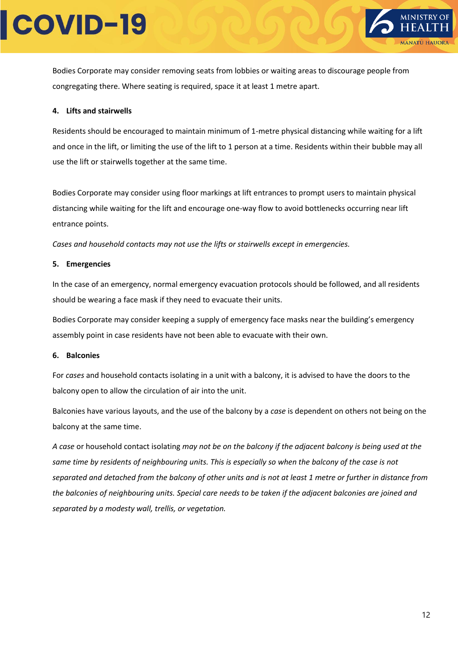

Bodies Corporate may consider removing seats from lobbies or waiting areas to discourage people from congregating there. Where seating is required, space it at least 1 metre apart.

#### **4. Lifts and stairwells**

Residents should be encouraged to maintain minimum of 1-metre physical distancing while waiting for a lift and once in the lift, or limiting the use of the lift to 1 person at a time. Residents within their bubble may all use the lift or stairwells together at the same time.

Bodies Corporate may consider using floor markings at lift entrances to prompt users to maintain physical distancing while waiting for the lift and encourage one-way flow to avoid bottlenecks occurring near lift entrance points.

*Cases and household contacts may not use the lifts or stairwells except in emergencies.*

#### **5. Emergencies**

In the case of an emergency, normal emergency evacuation protocols should be followed, and all residents should be wearing a face mask if they need to evacuate their units.

Bodies Corporate may consider keeping a supply of emergency face masks near the building's emergency assembly point in case residents have not been able to evacuate with their own.

#### **6. Balconies**

For *cases* and household contacts isolating in a unit with a balcony, it is advised to have the doors to the balcony open to allow the circulation of air into the unit.

Balconies have various layouts, and the use of the balcony by a *case* is dependent on others not being on the balcony at the same time.

*A case* or household contact isolating *may not be on the balcony if the adjacent balcony is being used at the same time by residents of neighbouring units. This is especially so when the balcony of the case is not separated and detached from the balcony of other units and is not at least 1 metre or further in distance from the balconies of neighbouring units. Special care needs to be taken if the adjacent balconies are joined and separated by a modesty wall, trellis, or vegetation.*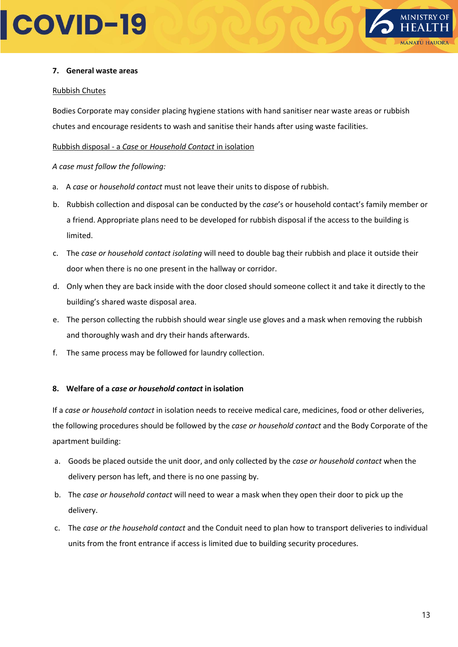

#### **7. General waste areas**

#### Rubbish Chutes

Bodies Corporate may consider placing hygiene stations with hand sanitiser near waste areas or rubbish chutes and encourage residents to wash and sanitise their hands after using waste facilities.

Rubbish disposal - a *Case* or *Household Contact* in isolation

#### *A case must follow the following:*

- a. A *case* or *household contact* must not leave their units to dispose of rubbish.
- b. Rubbish collection and disposal can be conducted by the *case*'s or household contact's family member or a friend. Appropriate plans need to be developed for rubbish disposal if the access to the building is limited.
- c. The *case or household contact isolating* will need to double bag their rubbish and place it outside their door when there is no one present in the hallway or corridor.
- d. Only when they are back inside with the door closed should someone collect it and take it directly to the building's shared waste disposal area.
- e. The person collecting the rubbish should wear single use gloves and a mask when removing the rubbish and thoroughly wash and dry their hands afterwards.
- f. The same process may be followed for laundry collection.

#### **8. Welfare of a** *case or household contact* **in isolation**

If a *case or household contact* in isolation needs to receive medical care, medicines, food or other deliveries, the following procedures should be followed by the *case or household contact* and the Body Corporate of the apartment building:

- a. Goods be placed outside the unit door, and only collected by the *case or household contact* when the delivery person has left, and there is no one passing by.
- b. The *case or household contact* will need to wear a mask when they open their door to pick up the delivery.
- c. The *case or the household contact* and the Conduit need to plan how to transport deliveries to individual units from the front entrance if access is limited due to building security procedures.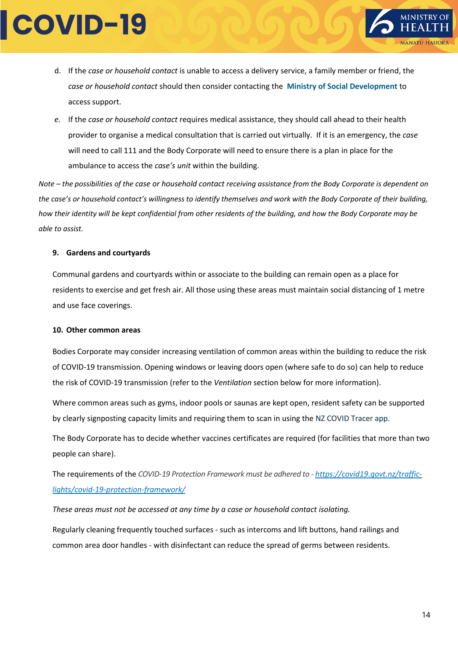

- d. If the *case or household contact* is unable to access a delivery service, a family member or friend, the *case or household contact* should then consider contacting the **[Ministry of Social Development](http://www.msd.govt.nz/about-msd-and-our-work/newsroom/2020/covid-19/where-to-go-for-services-and-support.html)** to access support.
- *e.* If the *case or household contact* requires medical assistance, they should call ahead to their health provider to organise a medical consultation that is carried out virtually. If it is an emergency, the *case* will need to call 111 and the Body Corporate will need to ensure there is a plan in place for the ambulance to access the *case's unit* within the building.

*Note – the possibilities of the case or household contact receiving assistance from the Body Corporate is dependent on the case's or household contact's willingness to identify themselves and work with the Body Corporate of their building, how their identity will be kept confidential from other residents of the building, and how the Body Corporate may be able to assist.*

#### **9. Gardens and courtyards**

Communal gardens and courtyards within or associate to the building can remain open as a place for residents to exercise and get fresh air. All those using these areas must maintain social distancing of 1 metre and use face coverings.

#### **10. Other common areas**

Bodies Corporate may consider increasing ventilation of common areas within the building to reduce the risk of COVID-19 transmission. Opening windows or leaving doors open (where safe to do so) can help to reduce the risk of COVID-19 transmission (refer to the *Ventilation* section below for more information).

Where common areas such as gyms, indoor pools or saunas are kept open, resident safety can be supported by clearly signposting capacity limits and requiring them to scan in using the NZ COVID Tracer app.

The Body Corporate has to decide whether vaccines certificates are required (for facilities that more than two people can share).

The requirements of the *COVID-19 Protection Framework must be adhered to* - *[https://covid19.govt.nz/traffic](https://covid19.govt.nz/traffic-lights/covid-19-protection-framework/)[lights/covid-19-protection-framework/](https://covid19.govt.nz/traffic-lights/covid-19-protection-framework/)*

#### *These areas must not be accessed at any time by a case or household contact isolating.*

Regularly cleaning frequently touched surfaces - such as intercoms and lift buttons, hand railings and common area door handles - with disinfectant can reduce the spread of germs between residents.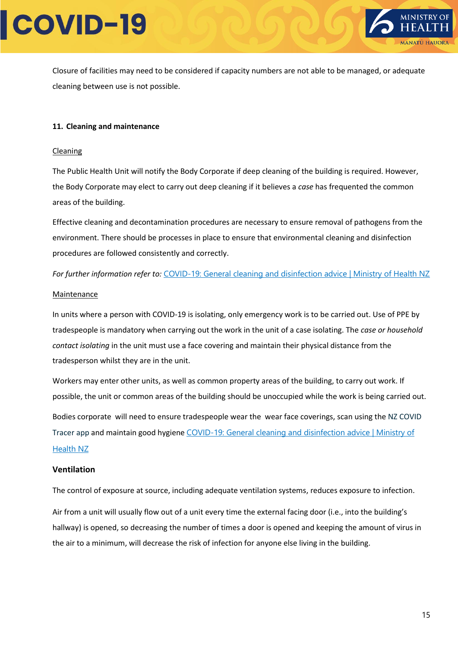

Closure of facilities may need to be considered if capacity numbers are not able to be managed, or adequate cleaning between use is not possible.

#### **11. Cleaning and maintenance**

#### Cleaning

The Public Health Unit will notify the Body Corporate if deep cleaning of the building is required. However, the Body Corporate may elect to carry out deep cleaning if it believes a *case* has frequented the common areas of the building.

Effective cleaning and decontamination procedures are necessary to ensure removal of pathogens from the environment. There should be processes in place to ensure that environmental cleaning and disinfection procedures are followed consistently and correctly.

*For further information refer to:* [COVID-19: General cleaning and disinfection advice | Ministry of Health NZ](https://www.health.govt.nz/covid-19-novel-coronavirus/covid-19-information-specific-audiences/covid-19-general-cleaning-and-disinfection-advice)

#### **Maintenance**

In units where a person with COVID-19 is isolating, only emergency work is to be carried out. Use of PPE by tradespeople is mandatory when carrying out the work in the unit of a case isolating. The *case or household contact isolating* in the unit must use a face covering and maintain their physical distance from the tradesperson whilst they are in the unit.

Workers may enter other units, as well as common property areas of the building, to carry out work. If possible, the unit or common areas of the building should be unoccupied while the work is being carried out.

Bodies corporate will need to ensure tradespeople wear the wear face coverings, scan using the NZ COVID Tracer app and maintain good hygiene [COVID-19: General cleaning and disinfection advice | Ministry of](https://www.health.govt.nz/covid-19-novel-coronavirus/covid-19-information-specific-audiences/covid-19-general-cleaning-and-disinfection-advice)  [Health NZ](https://www.health.govt.nz/covid-19-novel-coronavirus/covid-19-information-specific-audiences/covid-19-general-cleaning-and-disinfection-advice)

#### **Ventilation**

The control of exposure at source, including adequate ventilation systems, reduces exposure to infection.

Air from a unit will usually flow out of a unit every time the external facing door (i.e., into the building's hallway) is opened, so decreasing the number of times a door is opened and keeping the amount of virus in the air to a minimum, will decrease the risk of infection for anyone else living in the building.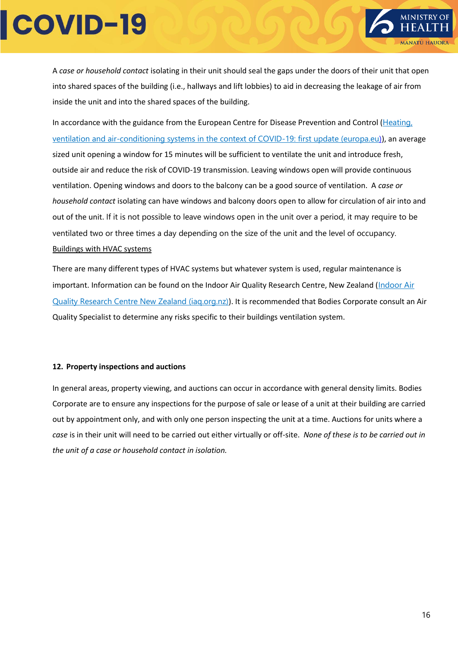

A *case or household contact* isolating in their unit should seal the gaps under the doors of their unit that open into shared spaces of the building (i.e., hallways and lift lobbies) to aid in decreasing the leakage of air from inside the unit and into the shared spaces of the building.

In accordance with the guidance from the European Centre for Disease Prevention and Control ([Heating,](https://www.ecdc.europa.eu/en/publications-data/heating-ventilation-air-conditioning-systems-covid-19)  [ventilation and air-conditioning systems in the context of COVID-19: first update \(europa.eu\)](https://www.ecdc.europa.eu/en/publications-data/heating-ventilation-air-conditioning-systems-covid-19)), an average sized unit opening a window for 15 minutes will be sufficient to ventilate the unit and introduce fresh, outside air and reduce the risk of COVID-19 transmission. Leaving windows open will provide continuous ventilation. Opening windows and doors to the balcony can be a good source of ventilation. A *case or household contact* isolating can have windows and balcony doors open to allow for circulation of air into and out of the unit. If it is not possible to leave windows open in the unit over a period, it may require to be ventilated two or three times a day depending on the size of the unit and the level of occupancy. Buildings with HVAC systems

There are many different types of HVAC systems but whatever system is used, regular maintenance is important. Information can be found on the [Indoor Air](https://iaq.org.nz/) Quality Research Centre, New Zealand (Indoor Air [Quality Research Centre New Zealand \(iaq.org.nz\)](https://iaq.org.nz/)). It is recommended that Bodies Corporate consult an Air Quality Specialist to determine any risks specific to their buildings ventilation system.

#### **12. Property inspections and auctions**

In general areas, property viewing, and auctions can occur in accordance with general density limits. Bodies Corporate are to ensure any inspections for the purpose of sale or lease of a unit at their building are carried out by appointment only, and with only one person inspecting the unit at a time. Auctions for units where a *case* is in their unit will need to be carried out either virtually or off-site. *None of these is to be carried out in the unit of a case or household contact in isolation.*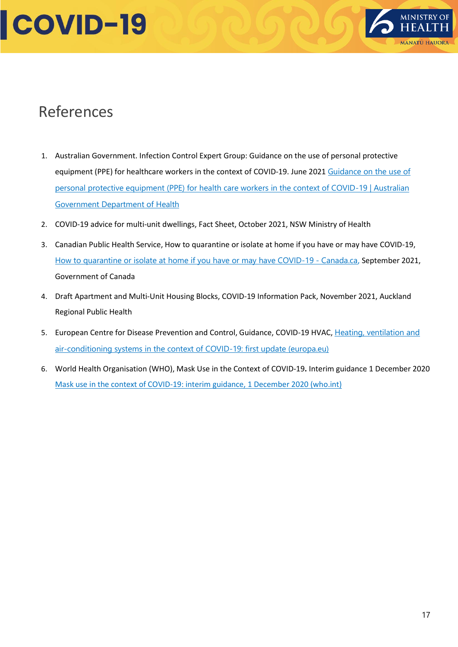

### References

- 1. Australian Government. Infection Control Expert Group: Guidance on the use of personal protective equipment (PPE) for healthcare workers in the context of COVID-19. June 2021 Guidance on the use of [personal protective equipment \(PPE\) for health care workers in the context of COVID-19 | Australian](https://www.health.gov.au/resources/publications/guidance-on-the-use-of-personal-protective-equipment-ppe-for-health-care-workers-in-the-context-of-covid-19)  [Government Department of Health](https://www.health.gov.au/resources/publications/guidance-on-the-use-of-personal-protective-equipment-ppe-for-health-care-workers-in-the-context-of-covid-19)
- 2. COVID-19 advice for multi-unit dwellings, Fact Sheet, October 2021, NSW Ministry of Health
- 3. Canadian Public Health Service, How to quarantine or isolate at home if you have or may have COVID-19, [How to quarantine or isolate at home if you have or may have COVID-19 -](https://www.canada.ca/en/public-health/services/diseases/2019-novel-coronavirus-infection/awareness-resources/quarantine-isolate-home.html) Canada.ca, September 2021, Government of Canada
- 4. Draft Apartment and Multi-Unit Housing Blocks, COVID-19 Information Pack, November 2021, Auckland Regional Public Health
- 5. European Centre for Disease Prevention and Control, Guidance, COVID-19 HVAC, Heating, ventilation and [air-conditioning systems in the context of COVID-19: first update \(europa.eu\)](https://www.ecdc.europa.eu/en/publications-data/heating-ventilation-air-conditioning-systems-covid-19)
- 6. World Health Organisation (WHO), Mask Use in the Context of COVID-19**.** Interim guidance 1 December 2020 [Mask use in the context of COVID-19: interim guidance, 1 December 2020 \(who.int\)](https://apps.who.int/iris/handle/10665/337199)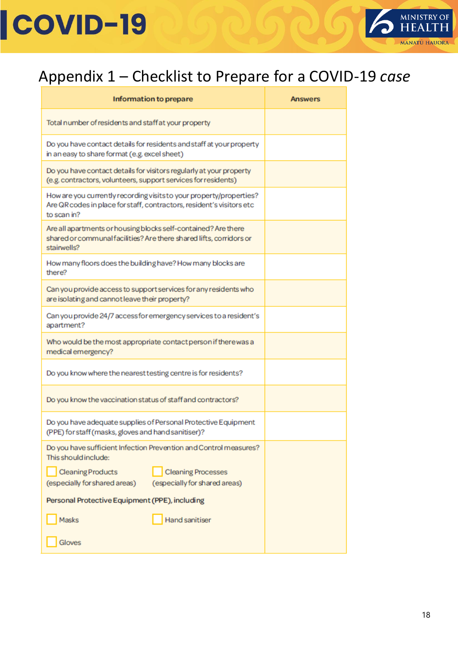

### Appendix 1 – Checklist to Prepare for a COVID-19 *case*

| Information to prepare                                                                                                                                      | <b>Answers</b> |
|-------------------------------------------------------------------------------------------------------------------------------------------------------------|----------------|
| Total number of residents and staff at your property                                                                                                        |                |
| Do you have contact details for residents and staff at your property<br>in an easy to share format (e.g. excel sheet)                                       |                |
| Do you have contact details for visitors regularly at your property<br>(e.g. contractors, volunteers, support services for residents)                       |                |
| How are you currently recording visits to your property/properties?<br>Are QR codes in place for staff, contractors, resident's visitors etc<br>to scan in? |                |
| Are all apartments or housing blocks self-contained? Are there<br>shared or communal facilities? Are there shared lifts, corridors or<br>stairwells?        |                |
| How many floors does the building have? How many blocks are<br>there?                                                                                       |                |
| Can you provide access to support services for any residents who<br>are isolating and cannot leave their property?                                          |                |
| Can you provide 24/7 access for emergency services to a resident's<br>apartment?                                                                            |                |
| Who would be the most appropriate contact person if there was a<br>medical emergency?                                                                       |                |
| Do you know where the nearest testing centre is for residents?                                                                                              |                |
| Do you know the vaccination status of staff and contractors?                                                                                                |                |
| Do you have adequate supplies of Personal Protective Equipment<br>(PPE) for staff (masks, gloves and hand sanitiser)?                                       |                |
| Do you have sufficient Infection Prevention and Control measures?<br>This should include:                                                                   |                |
| <b>Cleaning Products</b><br><b>Cleaning Processes</b><br>(especially for shared areas)<br>(especially for shared areas)                                     |                |
| Personal Protective Equipment (PPE), including                                                                                                              |                |
| <b>Hand sanitiser</b><br>Masks                                                                                                                              |                |
| Gloves                                                                                                                                                      |                |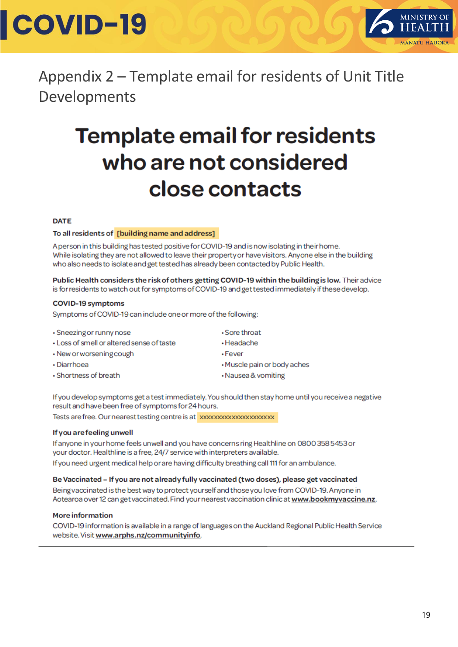

Appendix 2 – Template email for residents of Unit Title Developments

### **Template email for residents** who are not considered close contacts

#### **DATE**

#### To all residents of [building name and address]

A person in this building has tested positive for COVID-19 and is now isolating in their home. While isolating they are not allowed to leave their property or have visitors. Anyone else in the building who also needs to isolate and get tested has already been contacted by Public Health.

Public Health considers the risk of others getting COVID-19 within the building is low. Their advice is for residents to watch out for symptoms of COVID-19 and get tested immediately if these develop.

#### **COVID-19 symptoms**

Symptoms of COVID-19 can include one or more of the following:

- Sneezing or runny nose
- Loss of smell or altered sense of taste
- New or worsening cough
- · Diarrhoea
- Shortness of breath
- · Sore throat
- · Headache
- $\cdot$ Fever
- Muscle pain or body aches
- · Nausea & vomiting

If you develop symptoms get a test immediately. You should then stay home until you receive a negative result and have been free of symptoms for 24 hours.

#### If you are feeling unwell

If anyone in your home feels unwell and you have concerns ring Healthline on 0800 358 5453 or your doctor. Healthline is a free, 24/7 service with interpreters available. If you need urgent medical help or are having difficulty breathing call 111 for an ambulance.

#### Be Vaccinated - If you are not already fully vaccinated (two doses), please get vaccinated

Being vaccinated is the best way to protect yourself and those you love from COVID-19. Anyone in Aotearoa over 12 can get vaccinated. Find your nearest vaccination clinic at www.bookmyvaccine.nz.

#### **More information**

COVID-19 information is available in a range of languages on the Auckland Regional Public Health Service website. Visit www.arphs.nz/communityinfo.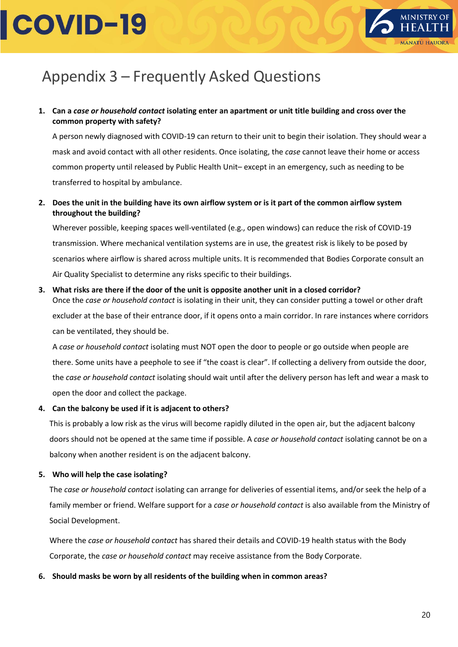

### <span id="page-19-0"></span>Appendix 3 – Frequently Asked Questions

**1. Can a** *case or household contact* **isolating enter an apartment or unit title building and cross over the common property with safety?**

A person newly diagnosed with COVID-19 can return to their unit to begin their isolation. They should wear a mask and avoid contact with all other residents. Once isolating, the *case* cannot leave their home or access common property until released by Public Health Unit– except in an emergency, such as needing to be transferred to hospital by ambulance.

**2. Does the unit in the building have its own airflow system or is it part of the common airflow system throughout the building?**

Wherever possible, keeping spaces well-ventilated (e.g., open windows) can reduce the risk of COVID-19 transmission. Where mechanical ventilation systems are in use, the greatest risk is likely to be posed by scenarios where airflow is shared across multiple units. It is recommended that Bodies Corporate consult an Air Quality Specialist to determine any risks specific to their buildings.

**3. What risks are there if the door of the unit is opposite another unit in a closed corridor?** Once the *case or household contact* is isolating in their unit, they can consider putting a towel or other draft

excluder at the base of their entrance door, if it opens onto a main corridor. In rare instances where corridors can be ventilated, they should be.

A *case or household contact* isolating must NOT open the door to people or go outside when people are there. Some units have a peephole to see if "the coast is clear". If collecting a delivery from outside the door, the *case or household contact* isolating should wait until after the delivery person has left and wear a mask to open the door and collect the package.

#### **4. Can the balcony be used if it is adjacent to others?**

This is probably a low risk as the virus will become rapidly diluted in the open air, but the adjacent balcony doors should not be opened at the same time if possible. A *case or household contact* isolating cannot be on a balcony when another resident is on the adjacent balcony.

#### **5. Who will help the case isolating?**

The *case or household contact* isolating can arrange for deliveries of essential items, and/or seek the help of a family member or friend. Welfare support for a *case or household contact* is also available from the Ministry of Social Development.

Where the *case or household contact* has shared their details and COVID-19 health status with the Body Corporate, the *case or household contact* may receive assistance from the Body Corporate.

#### **6. Should masks be worn by all residents of the building when in common areas?**